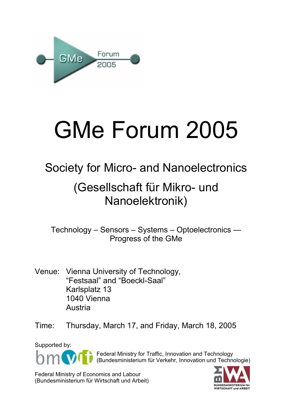

# GMe Forum 2005

# Society for Micro- and Nanoelectronics

# (Gesellschaft für Mikro- und Nanoelektronik)

Technology – Sensors – Systems – Optoelectronics — Progress of the GMe

- Venue: Vienna University of Technology, "Festsaal" and "Boeckl-Saal" Karlsplatz 13 1040 Vienna Austria
- Time: Thursday, March 17, and Friday, March 18, 2005

Supported by:



Federal Ministry for Traffic, Innovation and Technology (Bundesministerium für Verkehr, Innovation und Technologie)

Federal Ministry of Economics and Labour (Bundesministerium für Wirtschaft und Arbeit)

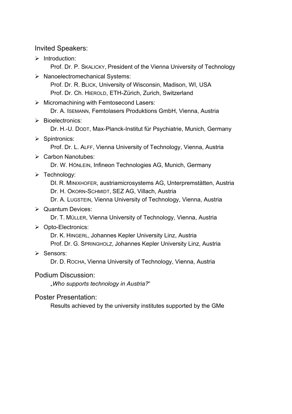Invited Speakers:

¾ Introduction:

Prof. Dr. P. SKALICKY, President of the Vienna University of Technology

¾ Nanoelectromechanical Systems:

Prof. Dr. R. BLICK, University of Wisconsin, Madison, WI, USA Prof. Dr. Ch. HIEROLD, ETH-Zürich, Zurich, Switzerland

 $\triangleright$  Micromachining with Femtosecond Lasers:

Dr. A. ISEMANN, Femtolasers Produktions GmbH, Vienna, Austria

¾ Bioelectronics:

Dr. H.-U. DODT, Max-Planck-Institut für Psychiatrie, Munich, Germany

¾ Spintronics:

Prof. Dr. L. ALFF, Vienna University of Technology, Vienna, Austria

¾ Carbon Nanotubes:

Dr. W. HÖNLEIN, Infineon Technologies AG, Munich, Germany

 $\triangleright$  Technology:

DI. R. MINIXHOFER, austriamicrosystems AG, Unterpremstätten, Austria

Dr. H. OKORN-SCHMIDT, SEZ AG, Villach, Austria

Dr. A. LUGSTEIN, Vienna University of Technology, Vienna, Austria

¾ Quantum Devices:

Dr. T. MÜLLER, Vienna University of Technology, Vienna, Austria

¾ Opto-Electronics:

Dr. K. HINGERL, Johannes Kepler University Linz, Austria

Prof. Dr. G. SPRINGHOLZ, Johannes Kepler University Linz, Austria

¾ Sensors:

Dr. D. ROCHA, Vienna University of Technology, Vienna, Austria

#### Podium Discussion:

"*Who supports technology in Austria?*"

#### Poster Presentation:

Results achieved by the university institutes supported by the GMe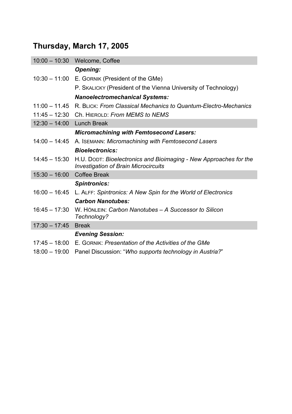# **Thursday, March 17, 2005**

|                            | 10:00 - 10:30 Welcome, Coffee                                                                                    |
|----------------------------|------------------------------------------------------------------------------------------------------------------|
|                            | <b>Opening:</b>                                                                                                  |
|                            | 10:30 - 11:00 E. GORNIK (President of the GMe)                                                                   |
|                            | P. SKALICKY (President of the Vienna University of Technology)                                                   |
|                            | <b>Nanoelectromechanical Systems:</b>                                                                            |
|                            | 11:00 - 11.45 R. BLICK: From Classical Mechanics to Quantum-Electro-Mechanics                                    |
|                            | 11:45 - 12:30 Ch. HIEROLD: From MEMS to NEMS                                                                     |
| 12:30 - 14:00 Lunch Break  |                                                                                                                  |
|                            | <b>Micromachining with Femtosecond Lasers:</b>                                                                   |
| $14:00 - 14:45$            | A. ISEMANN: Micromachining with Femtosecond Lasers                                                               |
|                            | <b>Bioelectronics:</b>                                                                                           |
| $14:45 - 15:30$            | H.U. DODT: Bioelectronics and Bioimaging - New Approaches for the<br><b>Investigation of Brain Microcircuits</b> |
| 15:30 - 16:00 Coffee Break |                                                                                                                  |
|                            | <b>Spintronics:</b>                                                                                              |
| $16:00 - 16:45$            | L. ALFF: Spintronics: A New Spin for the World of Electronics                                                    |
|                            | <b>Carbon Nanotubes:</b>                                                                                         |
| $16:45 - 17:30$            | W. HÖNLEIN: Carbon Nanotubes - A Successor to Silicon<br>Technology?                                             |
| $17:30 - 17:45$            | <b>Break</b>                                                                                                     |
|                            | <b>Evening Session:</b>                                                                                          |
| $17:45 - 18:00$            | E. GORNIK: Presentation of the Activities of the GMe                                                             |
| $18:00 - 19:00$            | Panel Discussion: "Who supports technology in Austria?"                                                          |